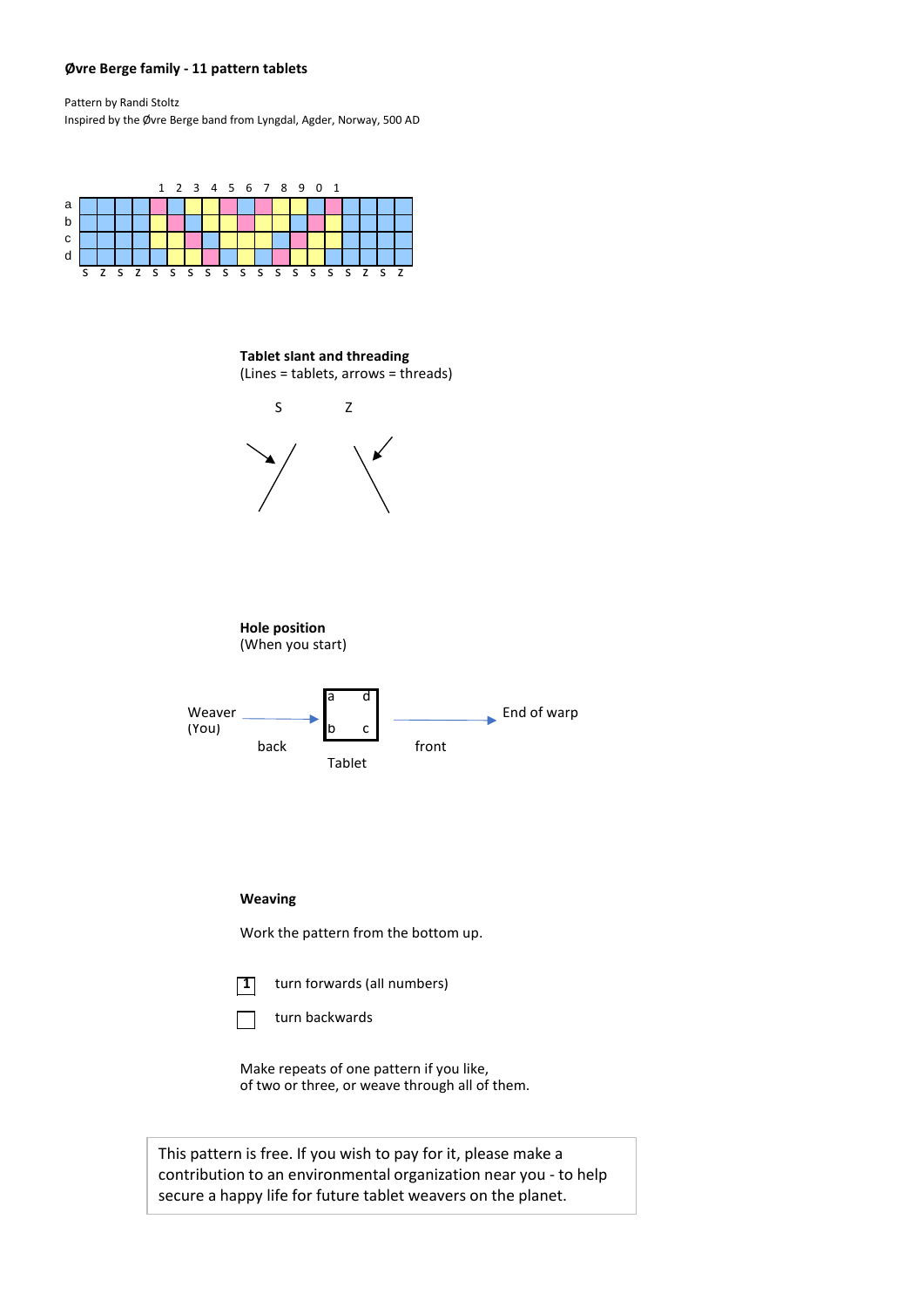## **Øvre Berge family - 11 pattern tablets**

Pattern by Randi Stoltz Inspired by the Øvre Berge band from Lyngdal, Agder, Norway, 500 AD



**Tablet slant and threading** (Lines = tablets, arrows = threads)



Make repeats of one pattern if you like, of two or three, or weave through all of them.

This pattern is free. If you wish to pay for it, please make a contribution to an environmental organization near you - to help secure a happy life for future tablet weavers on the planet.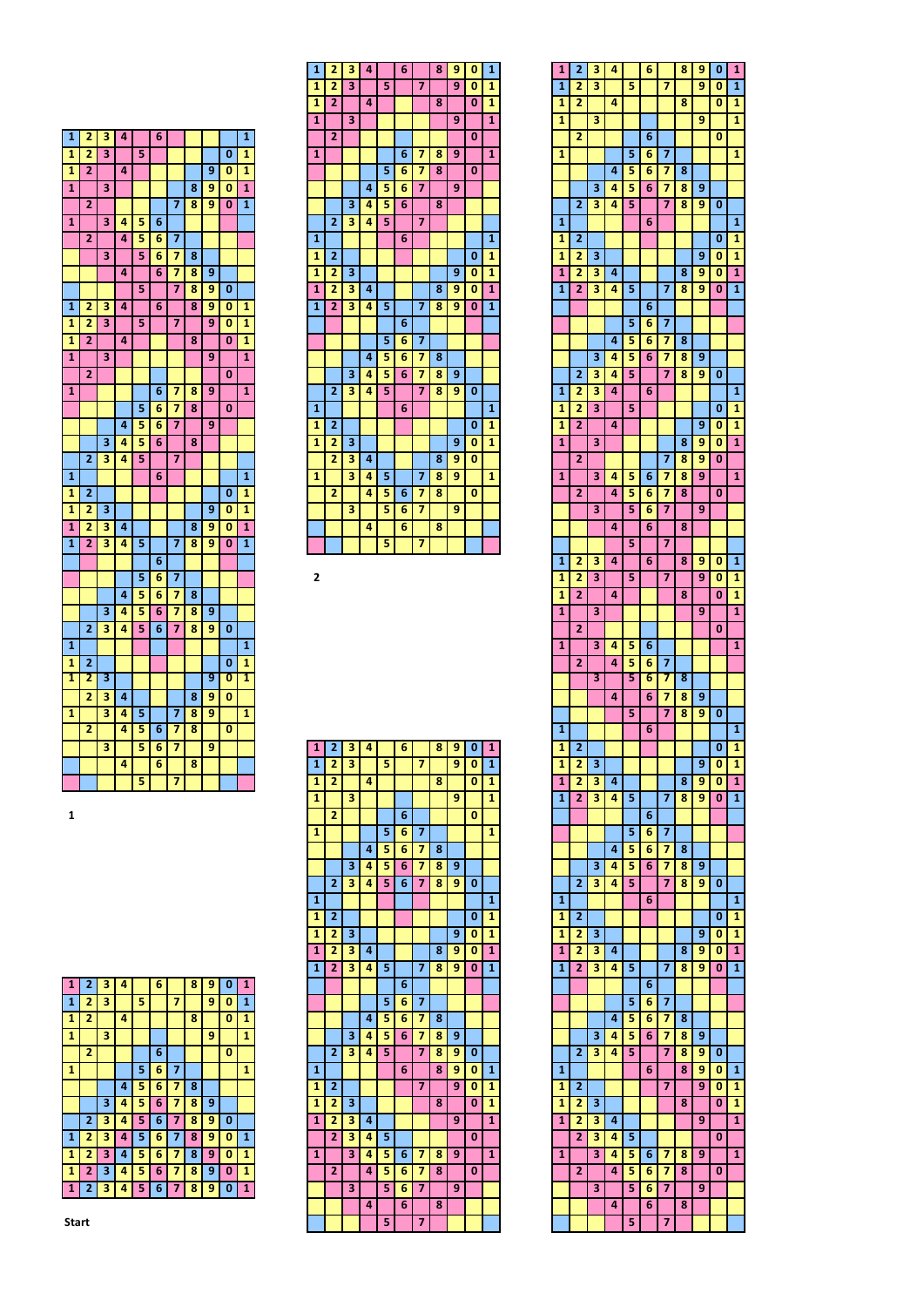| 1                       | 2              | 3 | 4 |   | 6 |   |   |   |   | $\overline{1}$          |
|-------------------------|----------------|---|---|---|---|---|---|---|---|-------------------------|
| $\overline{\mathbf{1}}$ | 2              | 3 |   | 5 |   |   |   |   | 0 | $\overline{\mathbf{1}}$ |
| 1                       | $\overline{2}$ |   | 4 |   |   |   |   | 9 | 0 | 1                       |
| $\overline{\mathbf{1}}$ |                | 3 |   |   |   |   | 8 | 9 | 0 | $\mathbf{1}$            |
|                         | $\overline{2}$ |   |   |   |   | 7 | 8 | 9 | 0 | $\mathbf{1}$            |
| 1                       |                | 3 | 4 | 5 | 6 |   |   |   |   |                         |
|                         | 2              |   | 4 | 5 | 6 | 7 |   |   |   |                         |
|                         |                | 3 |   | 5 | 6 | 7 | 8 |   |   |                         |
|                         |                |   | 4 |   | 6 | 7 | 8 | 9 |   |                         |
|                         |                |   |   | 5 |   | 7 | 8 | 9 | 0 |                         |
| $\overline{\mathbf{1}}$ | $\overline{2}$ | 3 | 4 |   | 6 |   | 8 | 9 | 0 | 1                       |
| 1                       | $\overline{2}$ | 3 |   | 5 |   | 7 |   | 9 | 0 | 1                       |
| 1                       | $\overline{2}$ |   | 4 |   |   |   | 8 |   | 0 | 1                       |
| 1                       |                | 3 |   |   |   |   |   | 9 |   | $\mathbf{1}$            |
|                         | 2              |   |   |   |   |   |   |   | 0 |                         |
| $\overline{\mathbf{1}}$ |                |   |   |   | 6 | 7 | 8 | 9 |   | $\mathbf{1}$            |
|                         |                |   |   | 5 | 6 | 7 | 8 |   | 0 |                         |
|                         |                |   | 4 | 5 | 6 | 7 |   | 9 |   |                         |
|                         |                | 3 | 4 | 5 | 6 |   | 8 |   |   |                         |
|                         | $\overline{2}$ | 3 | 4 | 5 |   | 7 |   |   |   |                         |
| 1                       |                |   |   |   | 6 |   |   |   |   | 1                       |
| 1                       | $\overline{2}$ |   |   |   |   |   |   |   | 0 | 1                       |
| $\overline{\mathbf{1}}$ | 2              | 3 |   |   |   |   |   | 9 | 0 | 1                       |
| $\overline{\mathbf{1}}$ | 2              | 3 | 4 |   |   |   | 8 | 9 | 0 | 1                       |
| $\overline{\mathbf{1}}$ | 2              | 3 | 4 | 5 |   | 7 | 8 | 9 | 0 | 1                       |
|                         |                |   |   |   | 6 |   |   |   |   |                         |
|                         |                |   |   | 5 | 6 | 7 |   |   |   |                         |
|                         |                |   | 4 | 5 | 6 | 7 | 8 |   |   |                         |
|                         |                | 3 | 4 | 5 | 6 | 7 | 8 | 9 |   |                         |
|                         | $\overline{2}$ | 3 | 4 | 5 | 6 | 7 | 8 | 9 | 0 |                         |
| $\overline{1}$          |                |   |   |   |   |   |   |   |   | $\overline{1}$          |
| 1                       | 2              |   |   |   |   |   |   |   | 0 | 1                       |
| 1                       | 2              | 3 |   |   |   |   |   | 9 | 0 | 1                       |
|                         | 2              | 3 | 4 |   |   |   | 8 | 9 | 0 |                         |
| 1                       |                | 3 | 4 | 5 |   | 7 | 8 | 9 |   | 1                       |
|                         | 2              |   | 4 | 5 | 6 | 7 | 8 |   | 0 |                         |
|                         |                | 3 |   | 5 |   | 7 |   | 9 |   |                         |
|                         |                |   |   |   | 6 |   |   |   |   |                         |
|                         |                |   | 4 |   | 6 |   | 8 |   |   |                         |
|                         |                |   |   | 5 |   | 7 |   |   |   |                         |

| 1              | $\overline{2}$ | 3                       | 4 |   | 6 |                | 8 | 9 | 0        | $\overline{1}$ |
|----------------|----------------|-------------------------|---|---|---|----------------|---|---|----------|----------------|
| $\overline{1}$ | $\overline{2}$ | 3                       |   | 5 |   | 7              |   | 9 | $\bf{0}$ | $\overline{1}$ |
| $\mathbf{1}$   | $\overline{2}$ |                         | 4 |   |   |                | 8 |   | 0        | $\mathbf{1}$   |
| $\mathbf{1}$   |                | 3                       |   |   |   |                |   | 9 |          | $\mathbf{1}$   |
|                | $\overline{2}$ |                         |   |   |   |                |   |   | 0        |                |
| $\mathbf{1}$   |                |                         |   |   | 6 | $\overline{7}$ | 8 | 9 |          | $\mathbf{1}$   |
|                |                |                         |   | 5 | 6 | 7              | 8 |   | 0        |                |
|                |                |                         | 4 | 5 | 6 | 7              |   | 9 |          |                |
|                |                | 3                       | 4 | 5 | 6 |                | 8 |   |          |                |
|                | $\overline{2}$ | $\overline{\mathbf{3}}$ | 4 | 5 |   | 7              |   |   |          |                |
| 1              |                |                         |   |   | 6 |                |   |   |          | 1              |
| $\mathbf{1}$   | $\overline{2}$ |                         |   |   |   |                |   |   | 0        | $\mathbf{1}$   |
| $\mathbf{1}$   | 2              | 3                       |   |   |   |                |   | 9 | $\bf{0}$ | $\mathbf{1}$   |
| $\mathbf{1}$   | $\overline{2}$ | 3                       | 4 |   |   |                | 8 | 9 | $\bf{0}$ | $\mathbf{1}$   |
| $\mathbf{1}$   | $\overline{2}$ | 3                       | 4 | 5 |   | $\overline{z}$ | 8 | 9 | $\bf{0}$ | $\overline{1}$ |
|                |                |                         |   |   | 6 |                |   |   |          |                |
|                |                |                         |   | 5 | 6 | 7              |   |   |          |                |
|                |                |                         | 4 | 5 | 6 | 7              | 8 |   |          |                |
|                |                | 3                       | 4 | 5 | 6 | 7              | 8 | 9 |          |                |
|                | $\overline{2}$ | 3                       | 4 | 5 |   | 7              | 8 | 9 | 0        |                |
| $\mathbf{1}$   |                |                         |   |   | 6 |                |   |   |          | $\mathbf{1}$   |
| $\mathbf{1}$   | $\overline{2}$ |                         |   |   |   |                |   |   | 0        | 1              |
| $\overline{1}$ | $\overline{2}$ | 3                       |   |   |   |                |   | 9 | 0        | $\overline{1}$ |
|                | $\overline{2}$ | 3                       | 4 |   |   |                | 8 | 9 | 0        |                |
| $\mathbf{1}$   |                | 3                       | 4 | 5 |   | 7              | 8 | 9 |          | 1              |
|                | $\overline{2}$ |                         | 4 | 5 | 6 | 7              | 8 |   | 0        |                |
|                |                | 3                       |   | 5 | 6 | 7              |   | 9 |          |                |
|                |                |                         | 4 |   | 6 |                | 8 |   |          |                |
|                |                |                         |   | 5 |   | 7              |   |   |          |                |

| I |
|---|
|   |

| $\mathbf{1}$ | $\overline{2}$          | 3                       | 4 |   | 6 |                         | 8 | 9 | 0        | $\mathbf{1}$   |
|--------------|-------------------------|-------------------------|---|---|---|-------------------------|---|---|----------|----------------|
| $\mathbf{1}$ | $\overline{2}$          | $\overline{\mathbf{3}}$ |   | 5 |   | 7                       |   | 9 | $\bf{0}$ | $\mathbf{1}$   |
| $\mathbf{1}$ | 2                       |                         | 4 |   |   |                         | 8 |   | $\bf{0}$ | 1              |
| 1            |                         | 3                       |   |   |   |                         |   | 9 |          | 1              |
|              | 2                       |                         |   |   | 6 |                         |   |   | $\bf{0}$ |                |
| 1            |                         |                         |   | 5 | 6 | 7                       |   |   |          | 1              |
|              |                         |                         | 4 | 5 | 6 | 7                       | 8 |   |          |                |
|              |                         | 3                       | 4 | 5 | 6 | 7                       | 8 | 9 |          |                |
|              | $\overline{2}$          | 3                       | 4 | 5 | 6 | 7                       | 8 | 9 | 0        |                |
| 1            |                         |                         |   |   |   |                         |   |   |          | $\mathbf{1}$   |
| $\mathbf{1}$ | $\overline{2}$          |                         |   |   |   |                         |   |   | 0        | $\mathbf{1}$   |
| $\mathbf{1}$ | 2                       | 3                       |   |   |   |                         |   | 9 | 0        | $\mathbf{1}$   |
| $\mathbf{1}$ | $\overline{2}$          | 3                       | 4 |   |   |                         | 8 | 9 | 0        | $\mathbf{1}$   |
| $\mathbf{1}$ | 2                       | 3                       | 4 | 5 |   | 7                       | 8 | 9 | 0        | $\mathbf{1}$   |
|              |                         |                         |   |   | 6 |                         |   |   |          |                |
|              |                         |                         |   | 5 | 6 | $\overline{\mathbf{z}}$ |   |   |          |                |
|              |                         |                         | 4 | 5 | 6 | $\overline{7}$          | 8 |   |          |                |
|              |                         | 3                       | 4 | 5 | 6 | $\overline{7}$          | 8 | 9 |          |                |
|              | $\overline{2}$          | 3                       | 4 | 5 |   | $\overline{7}$          | 8 | 9 | 0        |                |
| 1            |                         |                         |   |   | 6 |                         | 8 | 9 | $\bf{0}$ | $\mathbf{1}$   |
| $\mathbf{1}$ | $\overline{\mathbf{z}}$ |                         |   |   |   | 7                       |   | 9 | 0        | 1              |
| 1            | $\overline{2}$          | 3                       |   |   |   |                         | 8 |   | $\bf{0}$ | 1              |
| $\mathbf{1}$ | 2                       | 3                       | 4 |   |   |                         |   | 9 |          | $\overline{1}$ |
|              | $\overline{2}$          | 3                       | 4 | 5 |   |                         |   |   | 0        |                |
| $\mathbf{1}$ |                         | 3                       | 4 | 5 | 6 | 7                       | 8 | 9 |          | $\mathbf{1}$   |
|              | $\overline{2}$          |                         | 4 | 5 | 6 | 7                       | 8 |   | 0        |                |
|              |                         | 3                       |   | 5 | 6 | 7                       |   | 9 |          |                |
|              |                         |                         | 4 |   | 6 |                         | 8 |   |          |                |
|              |                         |                         |   | 5 |   | $\overline{7}$          |   |   |          |                |

| 1                       | 2              | з | 4 |   | 6 |   | 8 | 9 | 0 | 1              |
|-------------------------|----------------|---|---|---|---|---|---|---|---|----------------|
| 1                       | 2              | 3 |   | 5 |   | 7 |   | 9 | 0 | 1              |
| 1                       | 2              |   | 4 |   |   |   | 8 |   | 0 | 1              |
| 1                       |                | 3 |   |   |   |   |   | 9 |   | 1              |
|                         | 2              |   |   |   | 6 |   |   |   | 0 |                |
|                         |                |   |   |   |   |   |   |   |   |                |
| 1                       |                |   |   | 5 | 6 | 7 |   |   |   | 1              |
|                         |                |   | 4 | 5 | 6 | 7 | 8 |   |   |                |
|                         |                | 3 | 4 | 5 | 6 | 7 | 8 | 9 |   |                |
|                         | 2              | 3 | 4 | 5 |   | 7 | 8 | 9 | 0 |                |
| 1                       |                |   |   |   | 6 |   |   |   |   | 1              |
| 1                       | $\overline{2}$ |   |   |   |   |   |   |   | 0 | 1              |
| 1                       | 2              | з |   |   |   |   |   | 9 | 0 | 1              |
| 1                       | 2              | 3 | 4 |   |   |   | 8 | 9 | 0 | 1              |
| $\overline{1}$          | $\overline{2}$ | 3 | 4 | 5 |   | 7 | 8 | 9 | 0 | $\overline{1}$ |
|                         |                |   |   |   | 6 |   |   |   |   |                |
|                         |                |   |   | 5 | 6 | 7 |   |   |   |                |
|                         |                |   | 4 | 5 | 6 | 7 | 8 |   |   |                |
|                         |                | 3 | 4 | 5 | 6 | 7 | 8 | 9 |   |                |
|                         |                | 3 | 4 | 5 |   | 7 | 8 | 9 |   |                |
|                         | 2              |   |   |   |   |   |   |   | 0 |                |
| 1                       | 2              | 3 | 4 |   | 6 |   |   |   |   | 1              |
| 1                       | $\overline{2}$ | 3 |   | 5 |   |   |   |   | 0 | 1              |
| 1                       | 2              |   | 4 |   |   |   |   | 9 | 0 | 1              |
| 1                       |                | 3 |   |   |   |   | 8 | 9 | 0 | 1              |
|                         | 2              |   |   |   |   | 7 | 8 | 9 | 0 |                |
| 1                       |                | 3 | 4 | 5 | 6 | 7 | 8 | 9 |   | $\overline{1}$ |
|                         | $\overline{2}$ |   | 4 | 5 | 6 | 7 | 8 |   | 0 |                |
|                         |                | 3 |   | 5 | 6 | 7 |   | 9 |   |                |
|                         |                |   | 4 |   | 6 |   | 8 |   |   |                |
|                         |                |   |   | 5 |   | 7 |   |   |   |                |
| 1                       | 2              | з | 4 |   | 6 |   | 8 | 9 | 0 | 1              |
| 1                       | 2              | 3 |   | 5 |   | 7 |   | 9 | 0 | 1              |
| 1                       | $\overline{2}$ |   | 4 |   |   |   | 8 |   | 0 | 1              |
|                         |                |   |   |   |   |   |   |   |   |                |
| $\mathbf{1}$            |                | 3 |   |   |   |   |   | 9 |   | $\mathbf{1}$   |
|                         | 2              |   |   |   |   |   |   |   | 0 |                |
| 1                       |                | 3 | 4 | 5 | 6 |   |   |   |   | 1              |
|                         | 2              |   | 4 | 5 | 6 | 7 |   |   |   |                |
|                         |                | 3 |   | 5 | 6 | 7 | 8 |   |   |                |
|                         |                |   | 4 |   | 6 | 7 | 8 | 9 |   |                |
|                         |                |   |   | 5 |   | 7 | 8 | 9 | 0 |                |
|                         |                |   |   |   | 6 |   |   |   |   |                |
| 1                       |                |   |   |   |   |   |   |   |   | 1              |
| 1                       | 2              |   |   |   |   |   |   |   | 0 | 1              |
| 1                       |                | з |   |   |   |   |   | 9 |   | 1              |
|                         | 2              |   |   |   |   |   |   |   | 0 |                |
| 1                       | 2              | 3 | 4 |   |   |   | 8 | 9 | 0 | $\overline{1}$ |
| 1                       | 2              | 3 | 4 | 5 |   | 7 | 8 | 9 | 0 | 1              |
|                         |                |   |   |   | 6 |   |   |   |   |                |
|                         |                |   |   | 5 | 6 | 7 |   |   |   |                |
|                         |                |   | 4 | 5 | 6 | 7 | 8 |   |   |                |
|                         |                | 3 | 4 | 5 | 6 | 7 | 8 | 9 |   |                |
|                         | 2              | з | 4 | 5 |   | 7 | 8 | 9 | 0 |                |
| $\overline{\mathbf{1}}$ |                |   |   |   | 6 |   |   |   |   | 1              |
| 1                       | 2              |   |   |   |   |   |   |   | 0 | 1              |
| 1                       | 2              | з |   |   |   |   |   | 9 | 0 | 1              |
| 1                       | 2              | з | 4 |   |   |   | 8 | 9 | 0 | $\overline{1}$ |
| 1                       | $\overline{2}$ | 3 | 4 | 5 |   | 7 | 8 | 9 | 0 | 1              |
|                         |                |   |   |   | 6 |   |   |   |   |                |
|                         |                |   |   | 5 | 6 | 7 |   |   |   |                |
|                         |                |   | 4 | 5 | 6 | 7 | 8 |   |   |                |
|                         |                | з | 4 | 5 | 6 | 7 | 8 | 9 |   |                |
|                         | 2              | 3 | 4 | 5 |   | 7 | 8 | 9 | 0 |                |
|                         |                |   |   |   | 6 |   | 8 | 9 | 0 | 1              |
| 1                       |                |   |   |   |   |   |   |   |   |                |
| 1                       | 2              |   |   |   |   | 7 |   | 9 | 0 | 1              |
| 1                       | 2              | з |   |   |   |   | 8 |   | 0 | 1              |
| 1                       | 2              | з | 4 |   |   |   |   | 9 |   | $\mathbf{1}$   |
|                         | 2              | 3 | 4 | 5 |   |   |   |   | 0 |                |
| 1                       |                | 3 | 4 | 5 | 6 | 7 | 8 | 9 |   | 1              |
|                         | 2              |   | 4 | 5 | 6 | 7 | 8 |   | 0 |                |
|                         |                | 3 |   | 5 | 6 | 7 |   | 9 |   |                |
|                         |                |   | 4 | 5 | 6 |   | 8 |   |   |                |

| 1 |                | з |   |   | 6 |   | 8 | g |   |   |
|---|----------------|---|---|---|---|---|---|---|---|---|
| 1 | 2              | з |   | 5 |   |   |   | 9 |   | 1 |
| 1 | 2              |   | 4 |   |   |   | 8 |   | 0 | 1 |
| 1 |                | з |   |   |   |   |   | 9 |   | 1 |
|   | 2              |   |   |   | 6 |   |   |   | o |   |
| 1 |                |   |   | 5 | 6 |   |   |   |   | 1 |
|   |                |   | 4 | 5 | 6 |   | 8 |   |   |   |
|   |                | з | 4 | 5 | 6 |   | 8 | 9 |   |   |
|   | 2              | з | 4 | 5 | 6 | 7 | 8 | 9 | 0 |   |
| 1 | 2              | 3 | 4 | 5 | 6 |   | 8 | 9 | 0 | 1 |
| 1 | 2              | З | 4 | 5 | 6 |   | 8 | 9 | Ω | 1 |
| 1 | $\overline{2}$ | 3 | 4 | 5 | 6 | 7 | 8 | 9 | 0 | 1 |
| 1 |                | 3 | 4 | 5 | 6 | 7 | 8 | ٩ |   |   |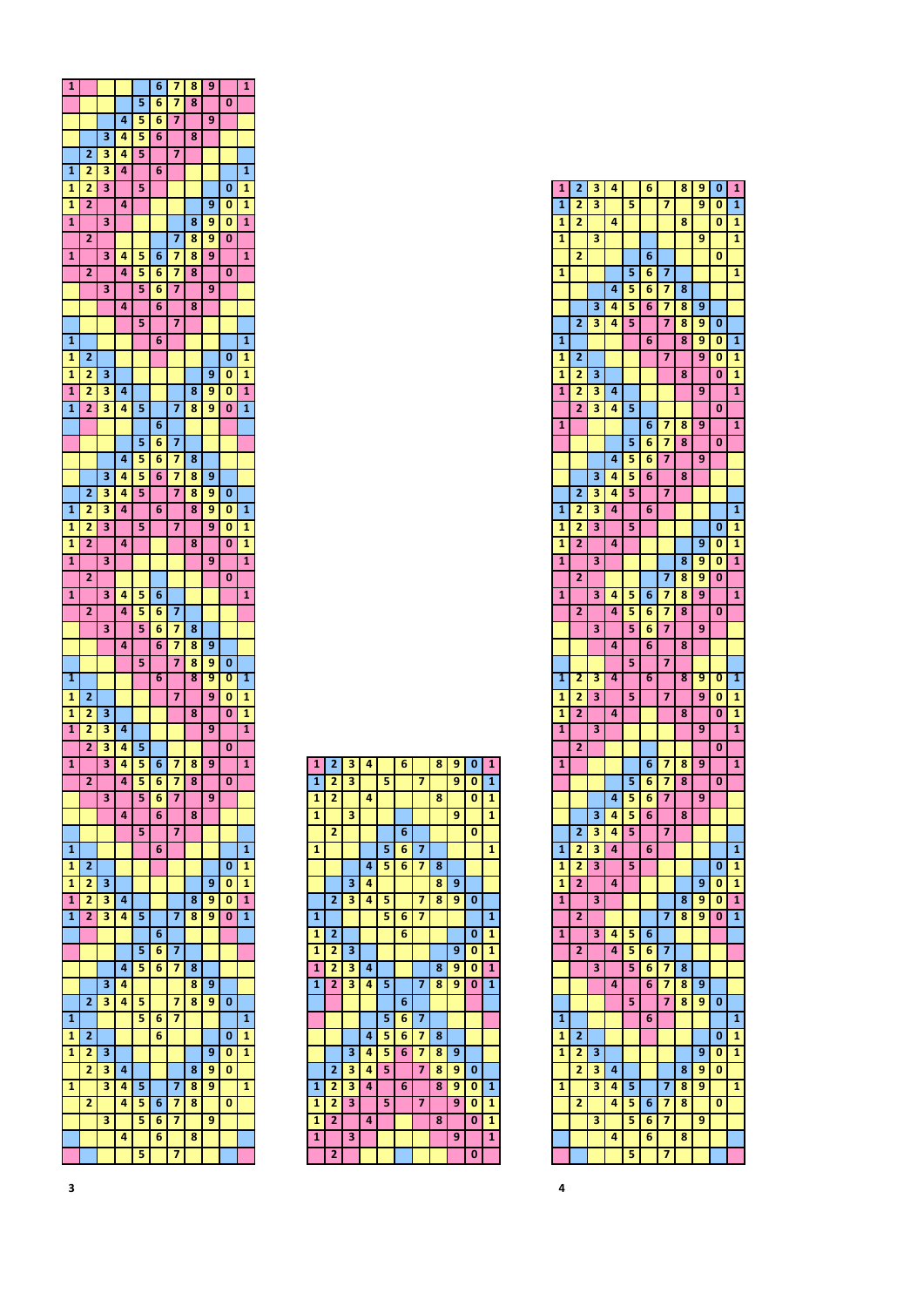| 1                       |                |   |   |   | 6 | 7 | 8 | 9 |   | $\mathbf{1}$            |
|-------------------------|----------------|---|---|---|---|---|---|---|---|-------------------------|
|                         |                |   |   | 5 | 6 | 7 | 8 |   | 0 |                         |
|                         |                |   | 4 | 5 | 6 | 7 |   | 9 |   |                         |
|                         |                | 3 | 4 | 5 | 6 |   | 8 |   |   |                         |
|                         | 2              | 3 | 4 | 5 |   | 7 |   |   |   |                         |
| 1                       | 2              | 3 | 4 |   | 6 |   |   |   |   | 1                       |
| 1                       | 2              | 3 |   | 5 |   |   |   |   | 0 | 1                       |
|                         | 2              |   | 4 |   |   |   |   | 9 |   |                         |
| 1                       |                |   |   |   |   |   |   |   | 0 | 1                       |
| $\overline{\mathbf{1}}$ |                | 3 |   |   |   |   | 8 | 9 | 0 | $\overline{1}$          |
|                         | $\overline{2}$ |   |   |   |   | 7 | 8 | 9 | 0 |                         |
| 1                       |                | 3 | 4 | 5 | 6 | 7 | 8 | 9 |   | $\mathbf{1}$            |
|                         | 2              |   | 4 | 5 | 6 | 7 | 8 |   | 0 |                         |
|                         |                | 3 |   | 5 | 6 | 7 |   | 9 |   |                         |
|                         |                |   | 4 |   | 6 |   | 8 |   |   |                         |
|                         |                |   |   | 5 |   | 7 |   |   |   |                         |
| 1                       |                |   |   |   | 6 |   |   |   |   | 1                       |
| 1                       | 2              |   |   |   |   |   |   |   | 0 | 1                       |
| 1                       | 2              | 3 |   |   |   |   |   | 9 | 0 | 1                       |
| 1                       | 2              | 3 | 4 |   |   |   | 8 | 9 | 0 | 1                       |
| 1                       | $\overline{2}$ | 3 | 4 | 5 |   | 7 | 8 | 9 | 0 | 1                       |
|                         |                |   |   |   | 6 |   |   |   |   |                         |
|                         |                |   |   | 5 | 6 | 7 |   |   |   |                         |
|                         |                |   | 4 | 5 | 6 | 7 | 8 |   |   |                         |
|                         |                | 3 | 4 | 5 |   | 7 |   | 9 |   |                         |
|                         |                |   |   |   | 6 |   | 8 |   |   |                         |
|                         | $\overline{2}$ | 3 | 4 | 5 |   | 7 | 8 | 9 | 0 |                         |
| 1                       | 2              | 3 | 4 |   | 6 |   | 8 | 9 | 0 | 1                       |
| 1                       | 2              | 3 |   | 5 |   | 7 |   | 9 | 0 | 1                       |
| 1                       | 2              |   | 4 |   |   |   | 8 |   | 0 | 1                       |
| 1                       |                | 3 |   |   |   |   |   | 9 |   | 1                       |
|                         | $\overline{2}$ |   |   |   |   |   |   |   | 0 |                         |
| $\mathbf{1}$            |                | 3 | 4 | 5 | 6 |   |   |   |   | $\mathbf{1}$            |
|                         | 2              |   | 4 | 5 | 6 | 7 |   |   |   |                         |
|                         |                | 3 |   | 5 | 6 | 7 | 8 |   |   |                         |
|                         |                |   | 4 |   | 6 | 7 | 8 | 9 |   |                         |
|                         |                |   |   | 5 |   | 7 | 8 | 9 | 0 |                         |
| 1                       |                |   |   |   | 6 |   | 8 | 9 | 0 | 1                       |
| 1                       | $\overline{2}$ |   |   |   |   | 7 |   | 9 | 0 | 1                       |
| 1                       | 2              | 3 |   |   |   |   | 8 |   | 0 | 1                       |
| 1                       | 2              | 3 | 4 |   |   |   |   | 9 |   | 1                       |
|                         | 2              | 3 | 4 | 5 |   |   |   |   | 0 |                         |
| 1                       |                | 3 | 4 | 5 | 6 | 7 | 8 | 9 |   | $\overline{\mathbf{1}}$ |
|                         |                |   |   |   |   |   |   |   |   |                         |
|                         | 2              |   | 4 | 5 | 6 | 7 | 8 |   | 0 |                         |
|                         |                | 3 |   | 5 | 6 | 7 |   | 9 |   |                         |
|                         |                |   | 4 |   | 6 |   | 8 |   |   |                         |
|                         |                |   |   | 5 |   | 7 |   |   |   |                         |
| 1                       |                |   |   |   | 6 |   |   |   |   | 1                       |
| 1                       | 2              |   |   |   |   |   |   |   | 0 | 1                       |
| 1                       | 2              | 3 |   |   |   |   |   | 9 | 0 | 1                       |
| $\mathbf{1}$            | 2              | 3 | 4 |   |   |   | 8 | 9 | 0 | 1                       |
| 1                       | 2              | 3 | 4 | 5 |   | 7 | 8 | 9 | 0 | 1                       |
|                         |                |   |   |   | 6 |   |   |   |   |                         |
|                         |                |   |   | 5 | 6 | 7 |   |   |   |                         |
|                         |                |   | 4 | 5 | 6 | 7 | 8 |   |   |                         |
|                         |                | 3 | 4 |   |   |   | 8 | 9 |   |                         |
|                         | $\overline{2}$ | 3 | 4 | 5 |   | 7 | 8 | 9 | 0 |                         |
| 1                       |                |   |   | 5 | 6 | 7 |   |   |   | 1                       |
|                         |                |   |   |   |   |   |   |   |   |                         |
| 1                       | 2              |   |   |   | 6 |   |   |   | 0 | 1                       |
| 1                       | 2              | 3 |   |   |   |   |   | 9 | 0 | 1                       |
|                         | 2              | з | 4 |   |   |   | 8 | 9 | 0 |                         |
| 1                       |                | 3 | 4 | 5 |   | 7 | 8 | 9 |   | $\mathbf{1}$            |
|                         | 2              |   | 4 | 5 | 6 | 7 | 8 |   | 0 |                         |
|                         |                | 3 |   | 5 | 6 | 7 |   | 9 |   |                         |
|                         |                |   | 4 |   | 6 |   | 8 |   |   |                         |
|                         |                |   |   | 5 |   | 7 |   |   |   |                         |

| $\mathbf{1}$ | $\overline{\mathbf{c}}$ | 3 | 4 |   | 6 |   | 8 | 9 | 0 | 1                       |
|--------------|-------------------------|---|---|---|---|---|---|---|---|-------------------------|
| $\mathbf{1}$ | 2                       | 3 |   | 5 |   | 7 |   | 9 | O | $\overline{1}$          |
| $\mathbf{1}$ | 2                       |   | 4 |   |   |   | 8 |   | O | $\mathbf{1}$            |
| 1            |                         | 3 |   |   |   |   |   | 9 |   | $\mathbf{1}$            |
|              | $\overline{2}$          |   |   |   | 6 |   |   |   | 0 |                         |
| 1            |                         |   |   | 5 | 6 | 7 |   |   |   | 1                       |
|              |                         |   | 4 | 5 | 6 | 7 | 8 |   |   |                         |
|              |                         | 3 | 4 |   |   |   | 8 | 9 |   |                         |
|              | $\overline{2}$          | 3 | 4 | 5 |   | 7 | 8 | 9 | 0 |                         |
| 1            |                         |   |   | 5 | 6 | 7 |   |   |   | $\mathbf{1}$            |
| 1            | 2                       |   |   |   | 6 |   |   |   | 0 | 1                       |
| 1            | 2                       | 3 |   |   |   |   |   | 9 | O | 1                       |
| $\mathbf{1}$ | 2                       | 3 | 4 |   |   |   | 8 | 9 | O | $\mathbf{1}$            |
| $\mathbf{1}$ | $\overline{2}$          | 3 | 4 | 5 |   | 7 | 8 | 9 | 0 | $\overline{\mathbf{1}}$ |
|              |                         |   |   |   | 6 |   |   |   |   |                         |
|              |                         |   |   | 5 | 6 | 7 |   |   |   |                         |
|              |                         |   | 4 | 5 | 6 | 7 | 8 |   |   |                         |
|              |                         | 3 | 4 | 5 | 6 | 7 | 8 | 9 |   |                         |
|              | 2                       | 3 | 4 | 5 |   | 7 | 8 | 9 | 0 |                         |
| 1            | $\overline{2}$          | 3 | 4 |   | 6 |   | 8 | 9 | O | $\mathbf{1}$            |
| 1            | 2                       | 3 |   | 5 |   | 7 |   | 9 | 0 | 1                       |
| $\mathbf{1}$ | $\overline{2}$          |   | 4 |   |   |   | 8 |   | 0 | $\overline{1}$          |
| $\mathbf{1}$ |                         | 3 |   |   |   |   |   | 9 |   | $\mathbf{1}$            |
|              | 2                       |   |   |   |   |   |   |   | 0 |                         |

| $\overline{1}$ | $\overline{2}$ | 3 | 4 |   | 6 |   | 8 | 9 | 0 | $\overline{1}$          |
|----------------|----------------|---|---|---|---|---|---|---|---|-------------------------|
|                |                |   |   |   |   |   |   |   |   |                         |
| $\overline{1}$ | 2              | 3 |   | 5 |   | 7 |   | 9 | 0 | $\overline{1}$          |
| 1              | 2              |   | 4 |   |   |   | 8 |   | 0 | 1                       |
| 1              |                | 3 |   |   |   |   |   | 9 |   | 1                       |
|                | 2              |   |   |   | 6 |   |   |   | 0 |                         |
| 1              |                |   |   | 5 | 6 | 7 |   |   |   | 1                       |
|                |                |   | 4 | 5 | 6 | 7 | 8 |   |   |                         |
|                |                | 3 | 4 | 5 | 6 | 7 | 8 | 9 |   |                         |
|                |                |   |   | 5 |   | 7 |   |   |   |                         |
|                | $\overline{2}$ | 3 | 4 |   |   |   | 8 | 9 | 0 |                         |
| 1              |                |   |   |   | 6 |   | 8 | 9 | 0 | 1                       |
| 1              | $\overline{2}$ |   |   |   |   | 7 |   | 9 | 0 | 1                       |
| 1              | 2              | 3 |   |   |   |   | 8 |   | 0 | 1                       |
| $\overline{1}$ | 2              | 3 | 4 |   |   |   |   | 9 |   | 1                       |
|                | 2              | 3 | 4 | 5 |   |   |   |   | 0 |                         |
| 1              |                |   |   |   | 6 | 7 | 8 | 9 |   | 1                       |
|                |                |   |   | 5 |   |   |   |   |   |                         |
|                |                |   |   |   | 6 | 7 | 8 |   | 0 |                         |
|                |                |   | 4 | 5 | 6 | 7 |   | 9 |   |                         |
|                |                | 3 | 4 | 5 | 6 |   | 8 |   |   |                         |
|                | 2              | з | 4 | 5 |   | 7 |   |   |   |                         |
| 1              | 2              | 3 | 4 |   | 6 |   |   |   |   | 1                       |
| $\mathbf{1}$   | 2              | 3 |   | 5 |   |   |   |   | 0 | 1                       |
| 1              | 2              |   | 4 |   |   |   |   | 9 |   | 1                       |
|                |                |   |   |   |   |   |   |   | 0 |                         |
| 1              |                | 3 |   |   |   |   | 8 | 9 | 0 | $\overline{1}$          |
|                | 2              |   |   |   |   | 7 | 8 | 9 | 0 |                         |
| 1              |                | 3 | 4 | 5 | 6 | 7 | 8 | 9 |   | 1                       |
|                | 2              |   | 4 | 5 | 6 | 7 | 8 |   | 0 |                         |
|                |                | 3 |   | 5 | 6 | 7 |   | 9 |   |                         |
|                |                |   | 4 |   | 6 |   | 8 |   |   |                         |
|                |                |   |   |   |   |   |   |   |   |                         |
|                |                |   |   | 5 |   | 7 |   |   |   |                         |
| 1              | 2              | 3 | 4 |   | 6 |   | 8 | 9 | Ō | 1                       |
| 1              | 2              | 3 |   | 5 |   | 7 |   | 9 | 0 | 1                       |
| 1              | 2              |   | 4 |   |   |   | 8 |   | 0 | 1                       |
| 1              |                | 3 |   |   |   |   |   | 9 |   | 1                       |
|                | $\overline{2}$ |   |   |   |   |   |   |   | 0 |                         |
| $\overline{1}$ |                |   |   |   | 6 | 7 | 8 | 9 |   | $\overline{\mathbf{1}}$ |
|                |                |   |   |   |   |   |   |   |   |                         |
|                |                |   |   | 5 | 6 | 7 | 8 |   | 0 |                         |
|                |                |   | 4 | 5 | 6 | 7 |   | 9 |   |                         |
|                |                | 3 | 4 | 5 | 6 |   | 8 |   |   |                         |
|                | 2              | 3 | 4 | 5 |   | 7 |   |   |   |                         |
| 1              | 2              | 3 | 4 |   | 6 |   |   |   |   | 1                       |
| 1              | 2              | 3 |   | 5 |   |   |   |   | O | 1                       |
| 1              | $\overline{2}$ |   | 4 |   |   |   |   | 9 | 0 | 1                       |
| 1              |                | 3 |   |   |   |   | 8 | 9 | 0 | 1                       |
|                |                |   |   |   |   |   |   |   |   |                         |
|                | 2              |   |   |   |   | 7 | 8 | 9 | 0 | $\overline{1}$          |
| 1              |                | 3 | 4 | 5 | 6 |   |   |   |   |                         |
|                | 2              |   | 4 | 5 | 6 | 7 |   |   |   |                         |
|                |                | 3 |   | 5 | 6 | 7 | 8 |   |   |                         |
|                |                |   | 4 |   | 6 | 7 | 8 | 9 |   |                         |
|                |                |   |   | 5 |   | 7 | 8 | 9 | 0 |                         |
|                |                |   |   |   |   |   |   |   |   |                         |
| 1              |                |   |   |   | 6 |   |   |   |   | 1                       |
| 1              | $\overline{2}$ |   |   |   |   |   |   |   | 0 | 1                       |
| 1              | 2              | 3 |   |   |   |   |   | 9 | 0 | 1                       |
|                | 2              | з | 4 |   |   |   | 8 | 9 | 0 |                         |
| 1              |                | 3 | 4 | 5 |   | 7 | 8 | 9 |   | 1                       |
|                | 2              |   | 4 | 5 | 6 | 7 | 8 |   | 0 |                         |
|                |                | 3 |   | 5 | 6 | 7 |   | 9 |   |                         |
|                |                |   |   |   |   |   |   |   |   |                         |
|                |                |   | 4 |   | 6 |   | 8 |   |   |                         |
|                |                |   |   | 5 |   | 7 |   |   |   |                         |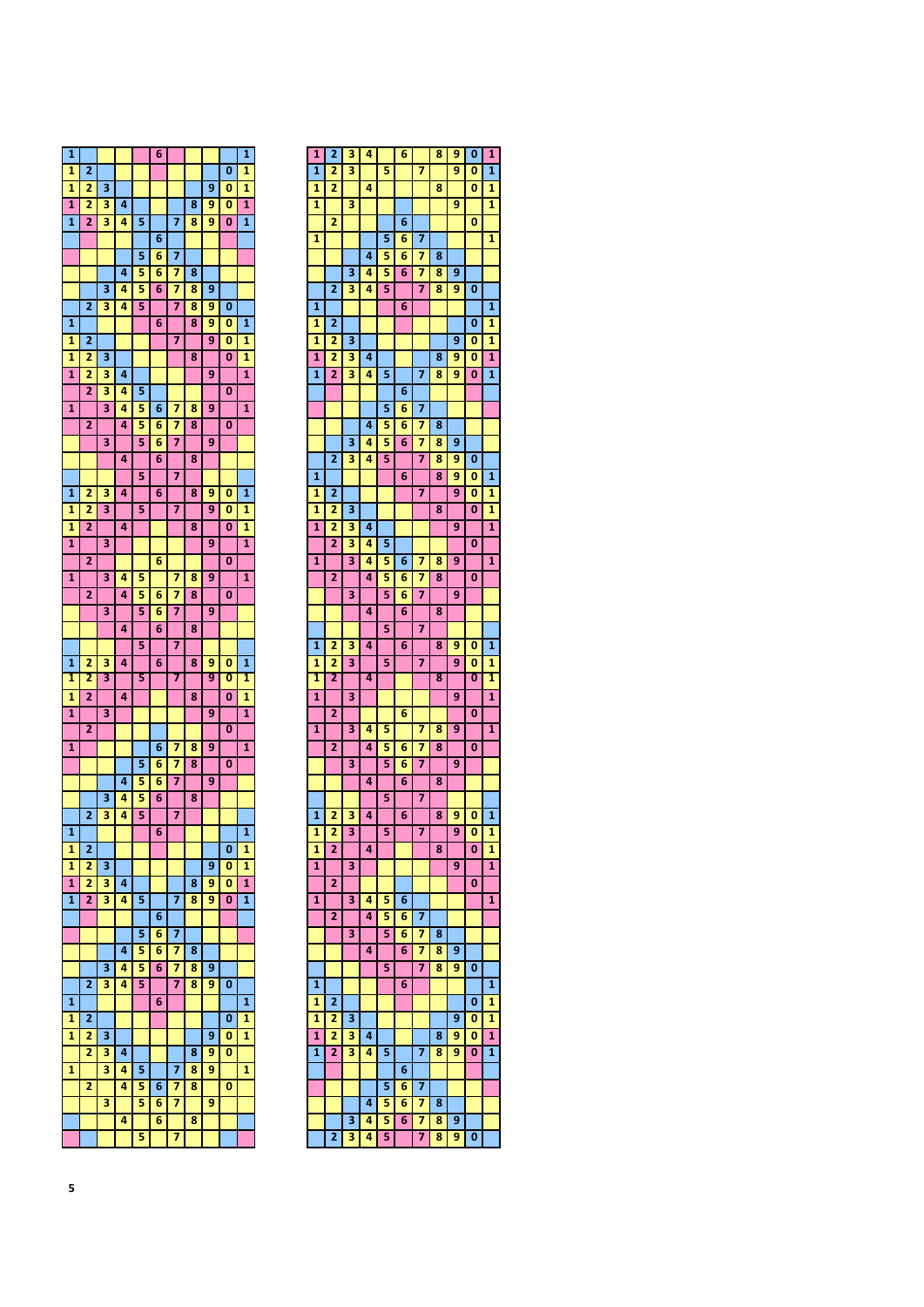| 1                       |                |   |   |   | 6      |        |        |   |   | $\mathbf{1}$            |
|-------------------------|----------------|---|---|---|--------|--------|--------|---|---|-------------------------|
| 1                       | 2              |   |   |   |        |        |        |   | 0 | 1                       |
| 1                       | 2              | 3 |   |   |        |        |        | 9 | 0 | 1                       |
| 1                       | 2              | 3 | 4 |   |        |        | 8      | 9 | 0 | $\overline{\mathbf{1}}$ |
| 1                       | $\overline{2}$ | 3 | 4 | 5 |        | 7      | 8      | 9 | 0 | 1                       |
|                         |                |   |   |   | 6      |        |        |   |   |                         |
|                         |                |   |   | 5 | 6      | 7      |        |   |   |                         |
|                         |                |   | 4 | 5 | 6      | 7      | 8      |   |   |                         |
|                         |                |   |   |   |        |        |        |   |   |                         |
|                         |                | 3 | 4 | 5 | 6      | 7      | 8      | 9 |   |                         |
|                         | $\overline{a}$ | 3 | 4 | 5 |        | 7      | 8      | 9 | 0 |                         |
| 1                       |                |   |   |   | 6      |        | 8      | 9 | 0 | 1                       |
| 1                       | 2              |   |   |   |        | 7      |        | 9 | 0 | 1                       |
| 1                       | 2              | 3 |   |   |        |        | 8      |   | 0 | 1                       |
| $\mathbf{1}$            | 2              | 3 | 4 |   |        |        |        | 9 |   | $\overline{1}$          |
|                         | $\overline{2}$ | 3 | 4 | 5 |        |        |        |   | 0 |                         |
| 1                       |                | 3 | 4 | 5 | 6      | 7      | 8      | 9 |   | 1                       |
|                         | 2              |   | 4 | 5 | 6      | 7      | 8      |   | 0 |                         |
|                         |                | 3 |   | 5 | 6      | 7      |        | 9 |   |                         |
|                         |                |   | 4 |   | 6      |        | 8      |   |   |                         |
|                         |                |   |   | 5 |        | 7      |        |   |   |                         |
| 1                       | 2              | 3 | 4 |   | 6      |        | 8      | 9 | 0 | 1                       |
|                         |                | 3 |   |   |        |        |        | 9 |   |                         |
| 1                       | 2              |   |   | 5 |        | 7      |        |   | 0 | 1                       |
| 1                       | 2              |   | 4 |   |        |        | 8      |   | 0 | 1                       |
| 1                       |                | 3 |   |   |        |        |        | 9 |   | $\mathbf{1}$            |
|                         | $\overline{2}$ |   |   |   | 6      |        |        |   | 0 |                         |
| $\overline{\mathbf{1}}$ |                | 3 | 4 | 5 |        | 7      | 8      | 9 |   | $\overline{\mathbf{1}}$ |
|                         | 2              |   | 4 | 5 | 6      | 7      | 8      |   | 0 |                         |
|                         |                | 3 |   | 5 | 6      | 7      |        | 9 |   |                         |
|                         |                |   | 4 |   | 6      |        | 8      |   |   |                         |
|                         |                |   |   | 5 |        | 7      |        |   |   |                         |
| 1                       | 2              | з | 4 |   | 6      |        | 8      | 9 | 0 | 1                       |
| 1                       | 2              | 3 |   | 5 |        | 7      |        | 9 | 0 | 1                       |
| 1                       | 2              |   | 4 |   |        |        | 8      |   | 0 | 1                       |
| 1                       |                | 3 |   |   |        |        |        | 9 |   | 1                       |
|                         | 2              |   |   |   |        |        |        |   | O |                         |
|                         |                |   |   |   |        |        |        |   |   |                         |
| 1                       |                |   |   |   | 6<br>6 | 7<br>7 | 8<br>8 | 9 | 0 | $\mathbf{1}$            |
|                         |                |   |   | 5 |        |        |        |   |   |                         |
|                         |                |   |   |   |        |        |        |   |   |                         |
|                         |                |   | 4 | 5 | 6      | 7      |        | 9 |   |                         |
|                         |                | 3 | 4 | 5 | 6      |        | 8      |   |   |                         |
|                         | 2              | 3 | 4 | 5 |        | 7      |        |   |   |                         |
| 1                       |                |   |   |   | 6      |        |        |   |   | 1                       |
| 1                       | 2              |   |   |   |        |        |        |   | 0 | 1                       |
| 1                       | 2              | 3 |   |   |        |        |        | 9 | 0 | 1                       |
| 1                       | 2              | 3 | 4 |   |        |        | 8      | 9 | 0 | 1                       |
| 1                       | 2              | 3 | 4 | 5 |        | 7      | 8      | 9 | 0 | $\mathbf{1}$            |
|                         |                |   |   |   | 6      |        |        |   |   |                         |
|                         |                |   |   | 5 | 6      | 7      |        |   |   |                         |
|                         |                |   | 4 | 5 | 6      | 7      | 8      |   |   |                         |
|                         |                |   |   |   |        |        |        |   |   |                         |
|                         |                | 3 | 4 | 5 | 6      | 7      | 8      | 9 |   |                         |
|                         | $\overline{2}$ | 3 | 4 | 5 |        | 7      | 8      | 9 | 0 |                         |
| 1                       |                |   |   |   | 6      |        |        |   |   | 1                       |
| 1                       | 2              |   |   |   |        |        |        |   | 0 | 1                       |
| 1                       | 2              | 3 |   |   |        |        |        | 9 | 0 | 1                       |
|                         | 2              | 3 | 4 |   |        |        | 8      | 9 | 0 |                         |
| 1                       |                | 3 | 4 | 5 |        | 7      | 8      | 9 |   | 1                       |
|                         | 2              |   | 4 | 5 | 6      | 7      | 8      |   | 0 |                         |
|                         |                | 3 |   | 5 | 6      | 7      |        | 9 |   |                         |
|                         |                |   | 4 |   | 6      |        | 8      |   |   |                         |

| 1                       | $\overline{2}$ | 3 | 4 |   | 6 |   | 8 | 9 | 0        | 1                       |
|-------------------------|----------------|---|---|---|---|---|---|---|----------|-------------------------|
| 1                       | $\overline{2}$ | 3 |   | 5 |   | 7 |   | 9 | 0        | 1                       |
| 1                       | 2              |   | 4 |   |   |   | 8 |   | 0        | 1                       |
| 1                       |                | 3 |   |   |   |   |   | 9 |          | 1                       |
|                         | 2              |   |   |   |   |   |   |   | O        |                         |
|                         |                |   |   |   | 6 |   |   |   |          |                         |
| 1                       |                |   |   | 5 | 6 | 7 |   |   |          | 1                       |
|                         |                |   | 4 | 5 | 6 | 7 | 8 |   |          |                         |
|                         |                | 3 | 4 | 5 | 6 | 7 | 8 | 9 |          |                         |
|                         | 2              | 3 | 4 | 5 |   | 7 | 8 | 9 | 0        |                         |
| 1                       |                |   |   |   | 6 |   |   |   |          | 1                       |
|                         |                |   |   |   |   |   |   |   |          |                         |
| 1                       | $\overline{2}$ |   |   |   |   |   |   |   | 0        | 1                       |
| 1                       | 2              | 3 |   |   |   |   |   | 9 | 0        | 1                       |
| $\overline{1}$          | $\overline{2}$ | 3 | 4 |   |   |   | 8 | 9 | 0        | 1                       |
| 1                       | 2              | 3 | 4 | 5 |   | 7 | 8 | 9 | 0        | 1                       |
|                         |                |   |   |   | 6 |   |   |   |          |                         |
|                         |                |   |   |   |   |   |   |   |          |                         |
|                         |                |   |   | 5 | 6 | 7 |   |   |          |                         |
|                         |                |   | 4 | 5 | 6 | 7 | 8 |   |          |                         |
|                         |                | 3 | 4 | 5 | 6 | 7 | 8 | 9 |          |                         |
|                         | 2              | 3 | 4 | 5 |   | 7 | 8 | 9 | 0        |                         |
| 1                       |                |   |   |   | 6 |   | 8 | 9 | 0        | 1                       |
| 1                       | 2              |   |   |   |   | 7 |   | 9 | 0        | 1                       |
|                         |                |   |   |   |   |   |   |   |          |                         |
| 1                       | 2              | 3 |   |   |   |   | 8 |   | 0        | 1                       |
| $\overline{\mathbf{1}}$ | $\overline{2}$ | 3 | 4 |   |   |   |   | 9 |          | $\overline{\mathbf{1}}$ |
|                         | 2              | 3 | 4 | 5 |   |   |   |   | 0        |                         |
| 1                       |                | 3 | 4 | 5 | 6 | 7 | 8 | 9 |          | 1                       |
|                         | 2              |   | 4 | 5 | 6 | 7 | 8 |   | 0        |                         |
|                         |                |   |   |   |   |   |   |   |          |                         |
|                         |                | 3 |   | 5 | 6 | 7 |   | 9 |          |                         |
|                         |                |   | 4 |   | 6 |   | 8 |   |          |                         |
|                         |                |   |   | 5 |   | 7 |   |   |          |                         |
| 1                       | 2              | 3 | 4 |   | 6 |   | 8 | 9 | 0        | 1                       |
| 1                       | 2              | 3 |   | 5 |   | 7 |   | 9 | 0        | 1                       |
| 1                       | 2              |   | 4 |   |   |   | 8 |   | 0        | 1                       |
|                         |                |   |   |   |   |   |   |   |          |                         |
| $\overline{\mathbf{1}}$ |                | 3 |   |   |   |   |   | 9 |          | $\overline{\mathbf{1}}$ |
|                         | 2              |   |   |   | 6 |   |   |   | 0        |                         |
| 1                       |                | 3 | 4 | 5 |   | 7 | 8 | 9 |          | 1                       |
|                         | $\overline{2}$ |   | 4 | 5 | 6 | 7 | 8 |   | 0        |                         |
|                         |                | 3 |   | 5 | 6 | 7 |   | 9 |          |                         |
|                         |                |   |   |   |   |   |   |   |          |                         |
|                         |                |   | 4 |   | 6 |   | 8 |   |          |                         |
|                         |                |   |   | 5 |   | 7 |   |   |          |                         |
| 1                       | 2              | 3 | 4 |   | 6 |   | 8 | 9 | 0        | 1                       |
| 1                       | 2              | 3 |   | 5 |   | 7 |   | 9 | O        | 1                       |
| $\mathbf{1}$            | $\overline{2}$ |   |   |   |   |   |   |   |          |                         |
| 1                       |                |   | 4 |   |   |   | 8 |   | $\bf{0}$ | 1                       |
|                         |                |   |   |   |   |   |   |   |          |                         |
|                         |                | 3 |   |   |   |   |   | 9 |          | $\overline{1}$          |
|                         | 2              |   |   |   |   |   |   |   | 0        |                         |
| 1                       |                | 3 | 4 | 5 | 6 |   |   |   |          | 1                       |
|                         | $\overline{2}$ |   | 4 | 5 | 6 | 7 |   |   |          |                         |
|                         |                | 3 |   | 5 | 6 | 7 | 8 |   |          |                         |
|                         |                |   |   |   |   |   |   |   |          |                         |
|                         |                |   | 4 |   | 6 | 7 | 8 | 9 |          |                         |
|                         |                |   |   | 5 |   | 7 | 8 | 9 | 0        |                         |
| $\mathbf{1}$            |                |   |   |   | 6 |   |   |   |          | 1                       |
| 1                       | 2              |   |   |   |   |   |   |   | 0        | 1                       |
| 1                       | 2              | 3 |   |   |   |   |   | 9 | 0        | 1                       |
| 1                       |                |   | 4 |   |   |   | 8 | 9 |          | 1                       |
|                         | 2              | з |   |   |   |   |   |   | 0        |                         |
| $\mathbf{1}$            | 2              | 3 | 4 | 5 |   | 7 | 8 | 9 | 0        | $\mathbf{1}$            |
|                         |                |   |   |   | 6 |   |   |   |          |                         |
|                         |                |   |   | 5 | 6 | 7 |   |   |          |                         |
|                         |                |   | 4 | 5 | 6 | 7 | 8 |   |          |                         |
|                         |                | 3 | 4 | 5 | 6 | 7 | 8 | 9 |          |                         |
|                         | 2              | 3 | 4 | 5 |   | 7 | 8 | 9 | 0        |                         |